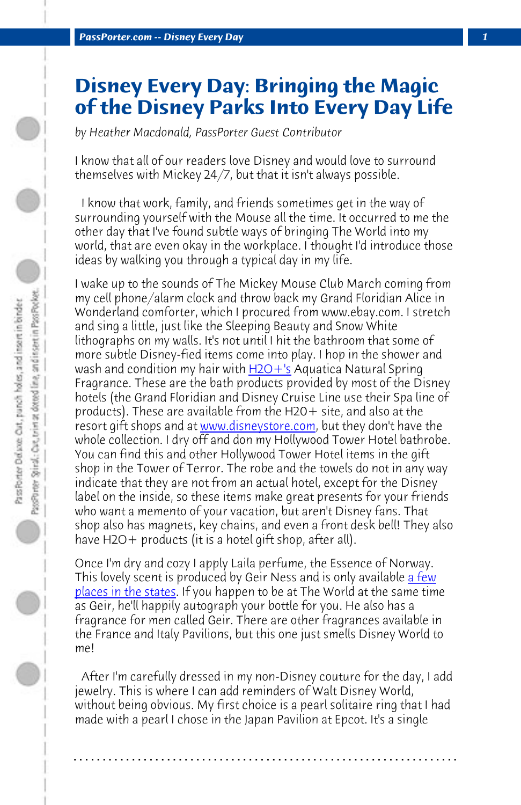*PassPorter.com -- Disney Every Day 1*

## **Disney Every Day: Bringing the Magic of the Disney Parks Into Every Day Life**

*by Heather Macdonald, PassPorter [Guest Co](http://www.h2oplus.com/category/bath+and+body/disney+resort+amenities.do?nType=1)ntributor*

I know that all of our readers love Disney and would love to surround themselves with Mickey 24/7, but that it isn't always possible.

 I know that work, family, and friends sometimes get in the way of surrounding yourself with the Mouse all the time. It occurred to me the other day that I've found subtle ways of bringing The World into my world, that are even okay in the workplace. I thought I'd introduce those ideas by walking you through a typical day in my life.

I wake up to the sounds of The Mickey Mouse Club March coming from my cell phone/alarm clock and throw back my Grand Floridian Alice in Wonderland comforter, which I procured from www.ebay.com. I stretch and sing a little, just like the Sleeping Beauty and Snow White lithographs on my walls. It's not until I hit the bathroom that so[me of](http://www.fragrancenet.com/laila-perfume/geir-ness/womens-fragrances/wf/en_US/17289?mv_pc=gawus_laila_w_17289_laila_perfume_e&gclid=CJG43r7DlKwCFQtU7Aod_xN_pg) [more subtle Disney](http://www.fragrancenet.com/laila-perfume/geir-ness/womens-fragrances/wf/en_US/17289?mv_pc=gawus_laila_w_17289_laila_perfume_e&gclid=CJG43r7DlKwCFQtU7Aod_xN_pg)-fied items come into play. I hop in the shower and wash and condition my hair with H2O+'s Aquatica Natural Spring Fragrance. These are the bath products provided by most of the Disney hotels (the Grand Floridian and Disney Cruise Line use their Spa line of products). These are available from the  $H2O+$  site, and also at the resort gift shops and at www.disneystore.com, but they don't have the whole collection. I dry off and don my Hollywood Tower Hotel bathrobe. You can find this and other Hollywood Tower Hotel items in the gift shop in the Tower of Terror. The robe and the towels do not in any way indicate that they are not from an actual hotel, except for the Disney label on the inside, so these items make great presents for your friends who want a memento of your vacation, but aren't Disney fans. That shop also has magnets, key chains, and even a front desk bell! They also have H2O+ products (it is a hotel gift shop, after all).

Once I'm dry and cozy I apply Laila perfume, the Essence of Norway. This lovely scent is produced by Geir Ness and is only available a few places in the states. If you happen to be at The World at the same time as Geir, he'll happily autograph your bottle for you. He also has a fragrance for men called Geir. There are other fragrances available in the France and Italy Pavilions, but this one just smells Disney World to me!

 After I'm carefully dressed in my non-Disney couture for the day, I add jewelry. This is where I can add reminders of Walt Disney World, without being obvious. My first choice is a pearl solitaire ring that I had made with a pearl I chose in the Japan Pavilion at Epcot. It's a single

**. . . . . . . . . . . . . . . . . . . . . . . . . . . . . . . . . . . . . . . . . . . . . . . . . . . . . . . . . . . . . . . . . .**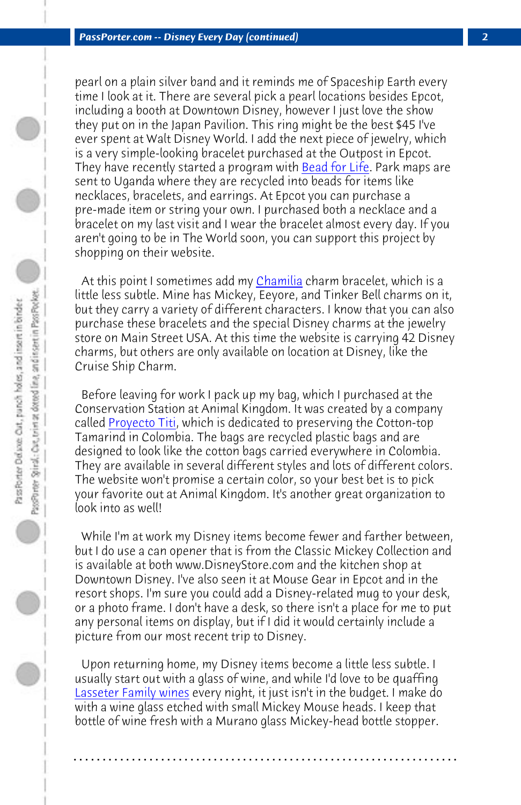*PassPorter.com -- Disney Every Day (c[ontinued\)](http://www.chamilia.com/Collections/Disney-s81004.html) 2*

pearl on a plain silver band and it reminds me of Spaceship Earth every time I look at it. There are several pick a pearl locations besides Epcot, including a booth at Downtown Disney, however I just love the show they put on in the Japan Pavilion. This ring might be the best \$45 I've ever spent at Walt Disney World. I add the next piece of jewelry, which is a very simple-looking bracelet purchased at the Outpost in Epcot. They have recently started a program with Bead for Life. Park maps are sent t[o Uganda whe](http://proyectotiti.com/)re they are recycled into beads for items like necklaces, bracelets, and earrings. At Epcot you can purchase a pre-made item or string your own. I purchased both a necklace and a bracelet on my last visit and I wear the bracelet almost every day. If you aren't going to be in The World soon, you can support this project by shopping on their website.

At this point I sometimes add my Chamilia charm bracelet, which is a little less subtle. Mine has Mickey, Eeyore, and Tinker Bell charms on it, but they carry a variety of different characters. I know that you can also purchase these bracelets and the special Disney charms at the jewelry store on Main Street USA. At this time the website is carrying 42 Disney charms, but others are only available on location at Disney, like the Cruise Ship Charm.

 Before leaving for work I pack up my bag, which I purchased at the Conservation Station at Animal Kingdom. It was created by a company called Proyecto Titi, which is dedicated to preserving the Cotton-top Tamarind in Colombia. The bags are recycled plastic bags and are [designed to look like th](http://www.lasseterfamilywinery.com/)e cotton bags carried everywhere in Colombia. They are available in several different styles and lots of different colors. The website won't promise a certain color, so your best bet is to pick your favorite out at Animal Kingdom. It's another great organization to look into as well!

 While I'm at work my Disney items become fewer and farther between, but I do use a can opener that is from the Classic Mickey Collection and is available at both www.DisneyStore.com and the kitchen shop at Downtown Disney. I've also seen it at Mouse Gear in Epcot and in the resort shops. I'm sure you could add a Disney-related mug to your desk, or a photo frame. I don't have a desk, so there isn't a place for me to put any personal items on display, but if I did it would certainly include a picture from our most recent trip to Disney.

 Upon returning home, my Disney items become a little less subtle. I usually start out with a glass of wine, and while I'd love to be quaffing Lasseter Family wines every night, it just isn't in the budget. I make do with a wine glass etched with small Mickey Mouse heads. I keep that bottle of wine fresh with a Murano glass Mickey-head bottle stopper.

**. . . . . . . . . . . . . . . . . . . . . . . . . . . . . . . . . . . . . . . . . . . . . . . . . . . . . . . . . . . . . . . . . .**